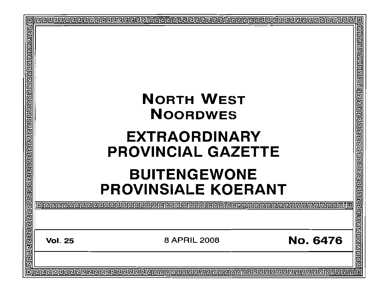| 回 | $\blacksquare$                                    |
|---|---------------------------------------------------|
|   | 闾<br>립<br><b>NORTH WEST</b><br><b>NOORDWES</b>    |
|   | <b>EXTRAORDINARY</b><br><b>PROVINCIAL GAZETTE</b> |
|   | <b>BUITENGEWONE</b><br><b>PROVINSIALE KOERANT</b> |
|   | 61822288888888                                    |
|   | <b>No. 6476</b><br>8 APRIL 2008<br><b>Vol. 25</b> |
|   |                                                   |
|   | o                                                 |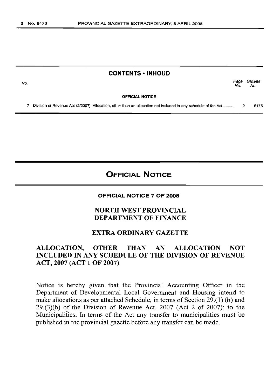#### **CONTENTS • INHOUD**

Page Gazette No. No.

OFFICIAL NOTICE

7 Division of Revenue Act (2/2007): Allocation, other than an allocation not included in any schedule of the Act.......... 2 6476

# **OFFICIAL NOTICE**

#### OFFICIAL NOTICE 7 OF 2008

### NORTH WEST PROVINCIAL DEPARTMENT OF FINANCE

#### EXTRA ORDINARY GAZETTE

### ALLOCATION, OTHER THAN AN ALLOCATION NOT INCLUDED IN ANY SCHEDULE OF THE DIVISION OF REVENUE ACT, 2007 (ACT 1 OF 2007)

Notice is hereby given that the Provincial Accounting Officer in the Department of Developmental Local Government and Housing intend to make allocations as per attached Schedule, in terms of Section 29.(1) (b) and  $29(3)(b)$  of the Division of Revenue Act,  $2007$  (Act 2 of 2007); to the Municipalities. In terms of the Act any transfer to municipalities must be published in the provincial gazette before any transfer can be made.

No.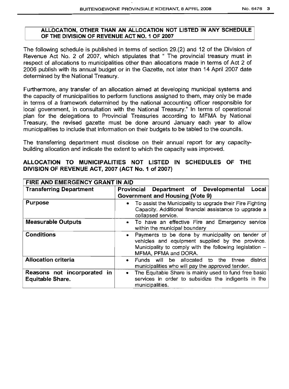#### ALLOCATION, OTHER THAN AN ALLOCATION NOT LISTED IN ANY SCHEDULE OF THE DIVISION OF REVENUE ACT NO. 1 OF 2007

The following schedule is published in terms of section 29.(2) and 12 of the Division of Revenue Act No. 2 of 2007, which stipulates that " The provincial treasury must in respect of allocations to municipalities other than allocations made in terms of Act 2 of 2006 publish with its annual budget or in the Gazette, not later than 14 April 2007 date determined by the National Treasury.

Furthermore, any transfer of an allocation aimed at developing municipal systems and the capacity of municipalities to perform functions assigned to them, may only be made in terms of a framework determined by the national accounting officer responsible for local government, in consultation with the National Treasury." In terms of operational plan for the delegations to Provincial Treasuries according to MFMA by National Treasury, the revised gazette must be done around January each year to allow municipalities to include that information on their budgets to be tabled to the councils.

The transferring department must disclose on their annual report for any capacitybuilding allocation and indicate the extent to which the capacity was improved.

### ALLOCATION TO MUNICIPALITIES NOT LISTED IN SCHEDULES OF THE DIVISION OF REVENUE ACT, 2007 (ACT No.1 of 2007)

| FIRE AND EMERGENCY GRANT IN AID                 |                                                                                                                                                                                                        |  |  |  |  |
|-------------------------------------------------|--------------------------------------------------------------------------------------------------------------------------------------------------------------------------------------------------------|--|--|--|--|
| <b>Transferring Department</b>                  | Department of Developmental<br>Provincial<br>Local<br><b>Government and Housing (Vote 9)</b>                                                                                                           |  |  |  |  |
| <b>Purpose</b>                                  | To assist the Municipality to upgrade their Fire Fighting<br>$\bullet$<br>Capacity. Additional financial assistance to upgrade a<br>collapsed service.                                                 |  |  |  |  |
| <b>Measurable Outputs</b>                       | To have an effective Fire and Emergency service<br>$\bullet$<br>within the municipal boundary                                                                                                          |  |  |  |  |
| <b>Conditions</b>                               | Payments to be done by municipality on tender of<br>$\bullet$<br>vehicles and equipment supplied by the province.<br>Municipality to comply with the following legislation $-$<br>MFMA, PFMA and DORA. |  |  |  |  |
| <b>Allocation criteria</b>                      | Funds will be allocated to the three<br>district<br>$\bullet$<br>municipalities who will pay the approved tender.                                                                                      |  |  |  |  |
| Reasons not incorporated in<br>Equitable Share. | The Equitable Share is mainly used to fund free basic<br>$\bullet$<br>services in order to subsidize the indigents in the<br>municipalities.                                                           |  |  |  |  |